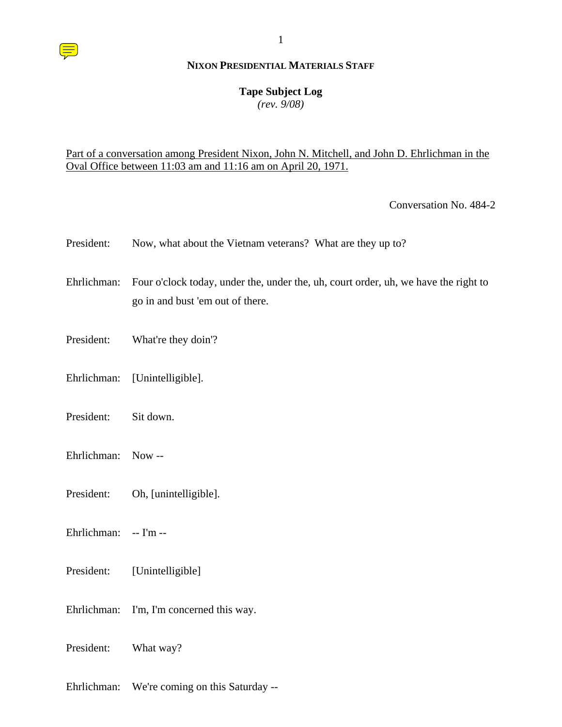#### **Tape Subject Log**

*(rev. 9/08)*

### Part of a conversation among President Nixon, John N. Mitchell, and John D. Ehrlichman in the Oval Office between 11:03 am and 11:16 am on April 20, 1971.

Conversation No. 484-2

| President:            | Now, what about the Vietnam veterans? What are they up to?                                                              |
|-----------------------|-------------------------------------------------------------------------------------------------------------------------|
| Ehrlichman:           | Four o'clock today, under the, under the, uh, court order, uh, we have the right to<br>go in and bust 'em out of there. |
| President:            | What're they doin'?                                                                                                     |
| Ehrlichman:           | [Unintelligible].                                                                                                       |
| President:            | Sit down.                                                                                                               |
| Ehrlichman:           | $Now -$                                                                                                                 |
| President:            | Oh, [unintelligible].                                                                                                   |
| Ehrlichman: -- I'm -- |                                                                                                                         |
| President:            | [Unintelligible]                                                                                                        |
| Ehrlichman:           | I'm, I'm concerned this way.                                                                                            |

President: What way?

Ehrlichman: We're coming on this Saturday --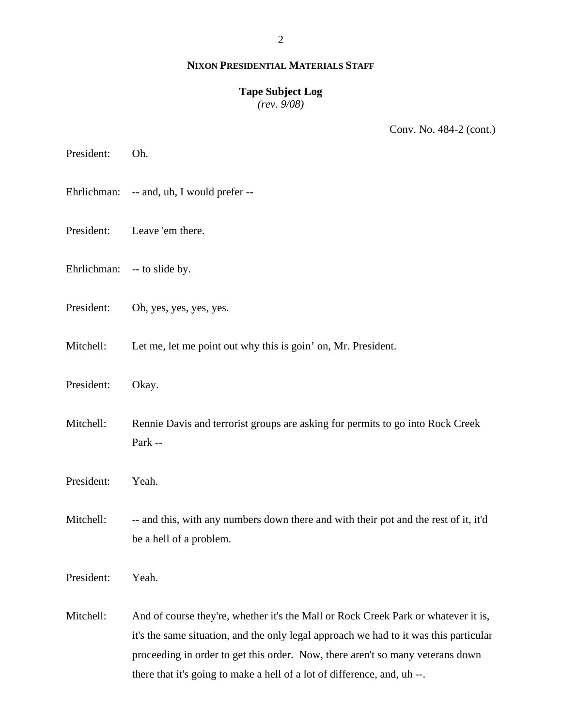## **Tape Subject Log**

*(rev. 9/08)*

Conv. No. 484-2 (cont.)

President: Oh.

- Ehrlichman: -- and, uh, I would prefer --
- President: Leave 'em there.
- Ehrlichman: -- to slide by.
- President: Oh, yes, yes, yes, yes.
- Mitchell: Let me, let me point out why this is goin' on, Mr. President.
- President: Okay.
- Mitchell: Rennie Davis and terrorist groups are asking for permits to go into Rock Creek Park --
- President: Yeah.
- Mitchell: -- and this, with any numbers down there and with their pot and the rest of it, it'd be a hell of a problem.

President: Yeah.

Mitchell: And of course they're, whether it's the Mall or Rock Creek Park or whatever it is, it's the same situation, and the only legal approach we had to it was this particular proceeding in order to get this order. Now, there aren't so many veterans down there that it's going to make a hell of a lot of difference, and, uh --.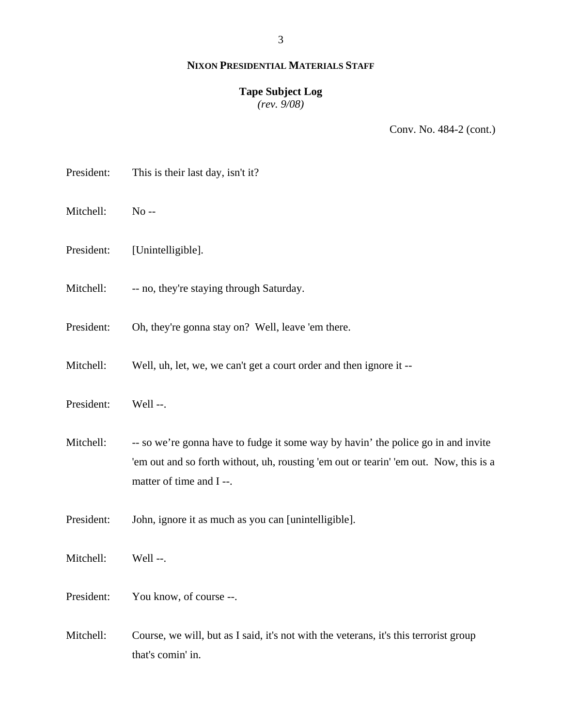#### **Tape Subject Log**

*(rev. 9/08)*

Conv. No. 484-2 (cont.)

President: This is their last day, isn't it? Mitchell: No -- President: [Unintelligible]. Mitchell: -- no, they're staying through Saturday. President: Oh, they're gonna stay on? Well, leave 'em there. Mitchell: Well, uh, let, we, we can't get a court order and then ignore it -- President: Well --. Mitchell: -- so we're gonna have to fudge it some way by havin' the police go in and invite 'em out and so forth without, uh, rousting 'em out or tearin' 'em out. Now, this is a matter of time and I --. President: John, ignore it as much as you can [unintelligible]. Mitchell: Well --. President: You know, of course --. Mitchell: Course, we will, but as I said, it's not with the veterans, it's this terrorist group that's comin' in.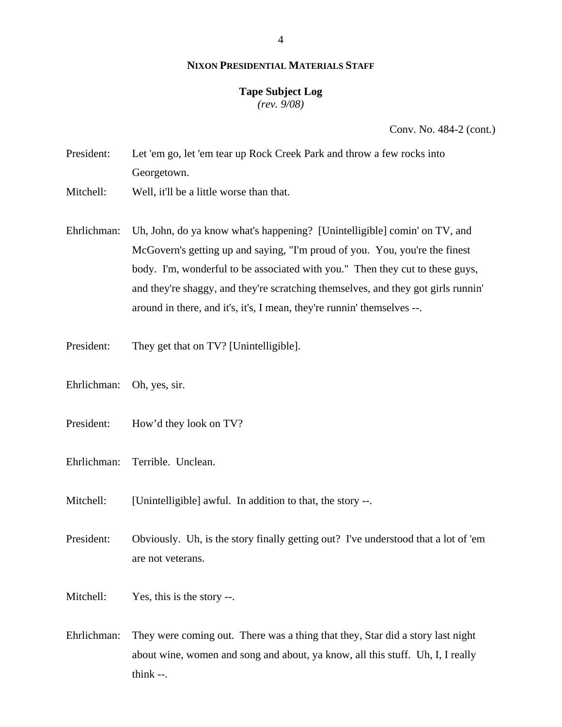#### **Tape Subject Log**

*(rev. 9/08)*

Conv. No. 484-2 (cont.)

- President: Let 'em go, let 'em tear up Rock Creek Park and throw a few rocks into Georgetown.
- Mitchell: Well, it'll be a little worse than that.
- Ehrlichman: Uh, John, do ya know what's happening? [Unintelligible] comin' on TV, and McGovern's getting up and saying, "I'm proud of you. You, you're the finest body. I'm, wonderful to be associated with you." Then they cut to these guys, and they're shaggy, and they're scratching themselves, and they got girls runnin' around in there, and it's, it's, I mean, they're runnin' themselves --.
- President: They get that on TV? [Unintelligible].
- Ehrlichman: Oh, yes, sir.
- President: How'd they look on TV?
- Ehrlichman: Terrible. Unclean.
- Mitchell: [Unintelligible] awful. In addition to that, the story --.
- President: Obviously. Uh, is the story finally getting out? I've understood that a lot of 'em are not veterans.
- Mitchell: Yes, this is the story --.
- Ehrlichman: They were coming out. There was a thing that they, Star did a story last night about wine, women and song and about, ya know, all this stuff. Uh, I, I really  $think -$ .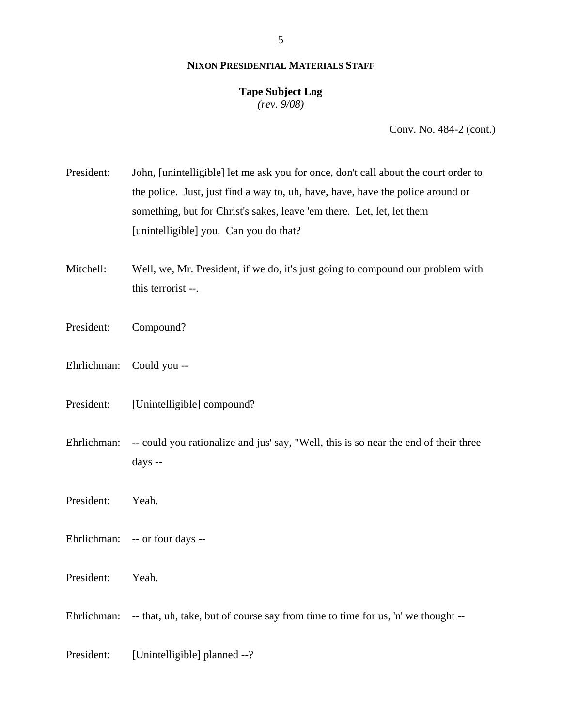# **Tape Subject Log**

*(rev. 9/08)*

Conv. No. 484-2 (cont.)

President: John, [unintelligible] let me ask you for once, don't call about the court order to the police. Just, just find a way to, uh, have, have, have the police around or something, but for Christ's sakes, leave 'em there. Let, let, let them [unintelligible] you. Can you do that?

Mitchell: Well, we, Mr. President, if we do, it's just going to compound our problem with this terrorist --.

- President: Compound?
- Ehrlichman: Could you --
- President: [Unintelligible] compound?

Ehrlichman: -- could you rationalize and jus' say, "Well, this is so near the end of their three days --

President: Yeah.

- Ehrlichman: -- or four days --
- President: Yeah.

Ehrlichman: -- that, uh, take, but of course say from time to time for us, 'n' we thought --

President: [Unintelligible] planned --?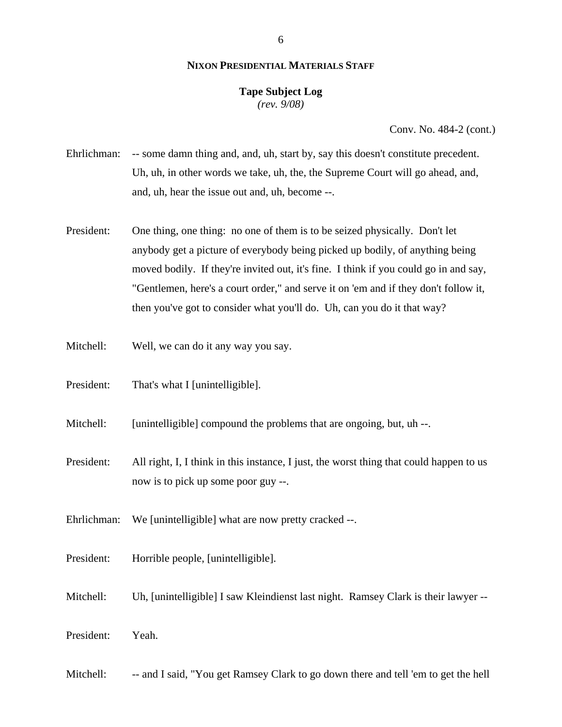#### 6

#### **NIXON PRESIDENTIAL MATERIALS STAFF**

## **Tape Subject Log**

*(rev. 9/08)*

Conv. No. 484-2 (cont.)

- Ehrlichman: -- some damn thing and, and, uh, start by, say this doesn't constitute precedent. Uh, uh, in other words we take, uh, the, the Supreme Court will go ahead, and, and, uh, hear the issue out and, uh, become --.
- President: One thing, one thing: no one of them is to be seized physically. Don't let anybody get a picture of everybody being picked up bodily, of anything being moved bodily. If they're invited out, it's fine. I think if you could go in and say, "Gentlemen, here's a court order," and serve it on 'em and if they don't follow it, then you've got to consider what you'll do. Uh, can you do it that way?
- Mitchell: Well, we can do it any way you say.
- President: That's what I [unintelligible].
- Mitchell: [unintelligible] compound the problems that are ongoing, but, uh --.
- President: All right, I, I think in this instance, I just, the worst thing that could happen to us now is to pick up some poor guy --.
- Ehrlichman: We [unintelligible] what are now pretty cracked --.
- President: Horrible people, [unintelligible].
- Mitchell: Uh, [unintelligible] I saw Kleindienst last night. Ramsey Clark is their lawyer --
- President: Yeah.
- Mitchell: -- and I said, "You get Ramsey Clark to go down there and tell 'em to get the hell